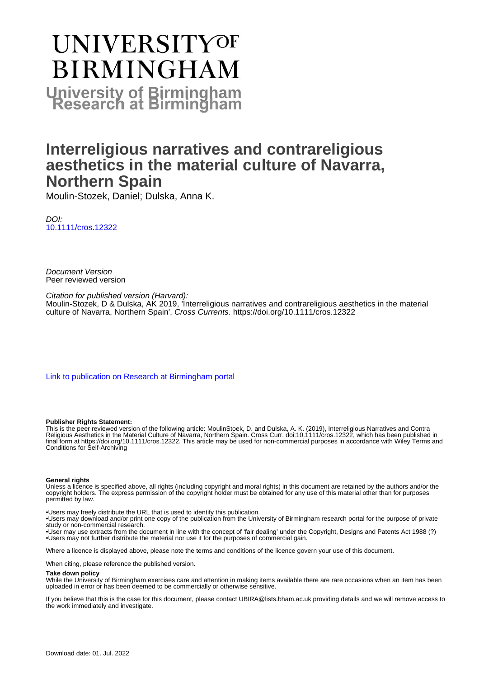# UNIVERSITYOF **BIRMINGHAM University of Birmingham**

# **Interreligious narratives and contrareligious aesthetics in the material culture of Navarra, Northern Spain**

Moulin-Stozek, Daniel; Dulska, Anna K.

DOI: [10.1111/cros.12322](https://doi.org/10.1111/cros.12322)

Document Version Peer reviewed version

Citation for published version (Harvard): Moulin-Stozek, D & Dulska, AK 2019, 'Interreligious narratives and contrareligious aesthetics in the material culture of Navarra, Northern Spain', Cross Currents. <https://doi.org/10.1111/cros.12322>

[Link to publication on Research at Birmingham portal](https://birmingham.elsevierpure.com/en/publications/d8154d3d-0b48-4217-a2f2-042705335d6f)

#### **Publisher Rights Statement:**

This is the peer reviewed version of the following article: MoulinStoek, D. and Dulska, A. K. (2019), Interreligious Narratives and Contra Religious Aesthetics in the Material Culture of Navarra, Northern Spain. Cross Curr. doi:10.1111/cros.12322, which has been published in final form at https://doi.org/10.1111/cros.12322. This article may be used for non-commercial purposes in accordance with Wiley Terms and Conditions for Self-Archiving

#### **General rights**

Unless a licence is specified above, all rights (including copyright and moral rights) in this document are retained by the authors and/or the copyright holders. The express permission of the copyright holder must be obtained for any use of this material other than for purposes permitted by law.

• Users may freely distribute the URL that is used to identify this publication.

• Users may download and/or print one copy of the publication from the University of Birmingham research portal for the purpose of private study or non-commercial research.

• User may use extracts from the document in line with the concept of 'fair dealing' under the Copyright, Designs and Patents Act 1988 (?) • Users may not further distribute the material nor use it for the purposes of commercial gain.

Where a licence is displayed above, please note the terms and conditions of the licence govern your use of this document.

When citing, please reference the published version.

#### **Take down policy**

While the University of Birmingham exercises care and attention in making items available there are rare occasions when an item has been uploaded in error or has been deemed to be commercially or otherwise sensitive.

If you believe that this is the case for this document, please contact UBIRA@lists.bham.ac.uk providing details and we will remove access to the work immediately and investigate.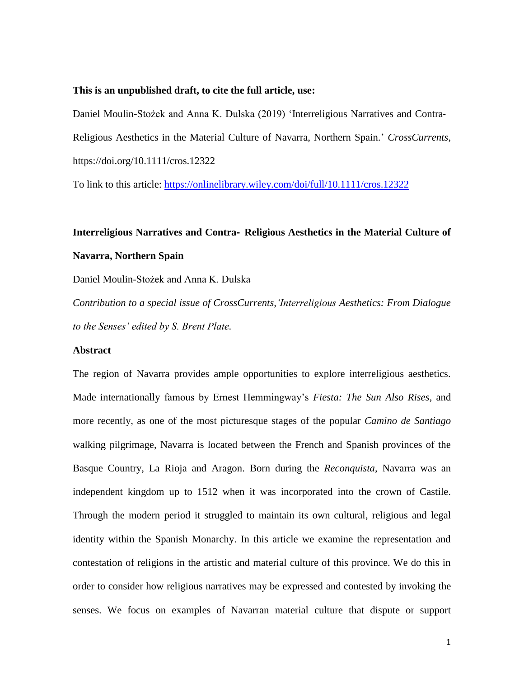#### **This is an unpublished draft, to cite the full article, use:**

Daniel Moulin-Stożek and Anna K. Dulska (2019) 'Interreligious Narratives and Contra‐ Religious Aesthetics in the Material Culture of Navarra, Northern Spain.' *CrossCurrents*, https://doi.org/10.1111/cros.12322

To link to this article:<https://onlinelibrary.wiley.com/doi/full/10.1111/cros.12322>

# **Interreligious Narratives and Contra**‐ **Religious Aesthetics in the Material Culture of Navarra, Northern Spain**

Daniel Moulin-Stożek and Anna K. Dulska

*Contribution to a special issue of CrossCurrents,'Interreligious Aesthetics: From Dialogue to the Senses' edited by S. Brent Plate.*

#### **Abstract**

The region of Navarra provides ample opportunities to explore interreligious aesthetics. Made internationally famous by Ernest Hemmingway's *Fiesta: The Sun Also Rises*, and more recently, as one of the most picturesque stages of the popular *Camino de Santiago* walking pilgrimage, Navarra is located between the French and Spanish provinces of the Basque Country, La Rioja and Aragon. Born during the *Reconquista*, Navarra was an independent kingdom up to 1512 when it was incorporated into the crown of Castile. Through the modern period it struggled to maintain its own cultural, religious and legal identity within the Spanish Monarchy. In this article we examine the representation and contestation of religions in the artistic and material culture of this province. We do this in order to consider how religious narratives may be expressed and contested by invoking the senses. We focus on examples of Navarran material culture that dispute or support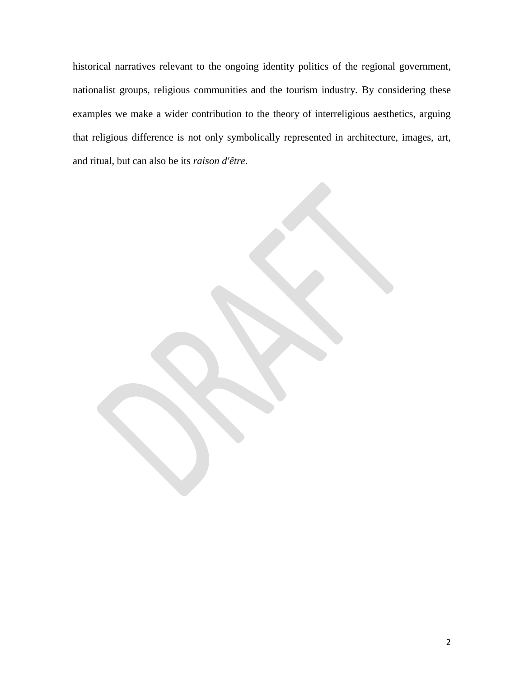historical narratives relevant to the ongoing identity politics of the regional government, nationalist groups, religious communities and the tourism industry. By considering these examples we make a wider contribution to the theory of interreligious aesthetics, arguing that religious difference is not only symbolically represented in architecture, images, art, and ritual, but can also be its *raison d'être*.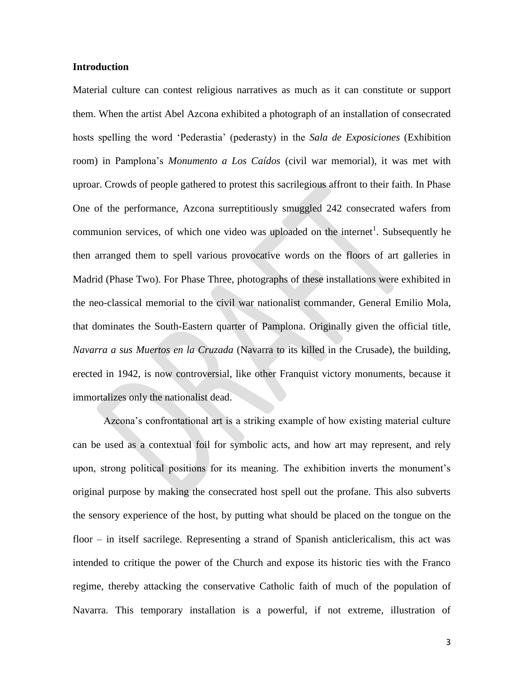#### **Introduction**

Material culture can contest religious narratives as much as it can constitute or support them. When the artist Abel Azcona exhibited a photograph of an installation of consecrated hosts spelling the word 'Pederastia' (pederasty) in the *Sala de Exposiciones* (Exhibition room) in Pamplona's *Monumento a Los Caídos* (civil war memorial), it was met with uproar. Crowds of people gathered to protest this sacrilegious affront to their faith. In Phase One of the performance, Azcona surreptitiously smuggled 242 consecrated wafers from communion services, of which one video was uploaded on the internet<sup>1</sup>. Subsequently he then arranged them to spell various provocative words on the floors of art galleries in Madrid (Phase Two). For Phase Three, photographs of these installations were exhibited in the neo-classical memorial to the civil war nationalist commander, General Emilio Mola, that dominates the South-Eastern quarter of Pamplona. Originally given the official title, *Navarra a sus Muertos en la Cruzada* (Navarra to its killed in the Crusade), the building, erected in 1942, is now controversial, like other Franquist victory monuments, because it immortalizes only the nationalist dead.

Azcona's confrontational art is a striking example of how existing material culture can be used as a contextual foil for symbolic acts, and how art may represent, and rely upon, strong political positions for its meaning. The exhibition inverts the monument's original purpose by making the consecrated host spell out the profane. This also subverts the sensory experience of the host, by putting what should be placed on the tongue on the floor – in itself sacrilege. Representing a strand of Spanish anticlericalism, this act was intended to critique the power of the Church and expose its historic ties with the Franco regime, thereby attacking the conservative Catholic faith of much of the population of Navarra. This temporary installation is a powerful, if not extreme, illustration of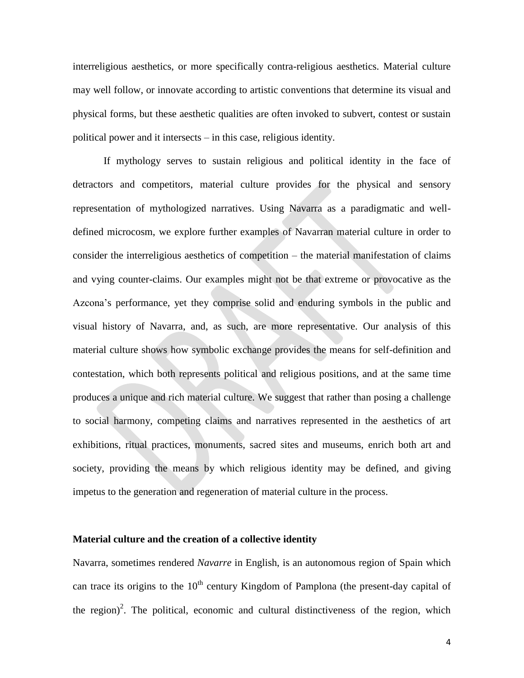interreligious aesthetics, or more specifically contra-religious aesthetics. Material culture may well follow, or innovate according to artistic conventions that determine its visual and physical forms, but these aesthetic qualities are often invoked to subvert, contest or sustain political power and it intersects – in this case, religious identity.

If mythology serves to sustain religious and political identity in the face of detractors and competitors, material culture provides for the physical and sensory representation of mythologized narratives. Using Navarra as a paradigmatic and welldefined microcosm, we explore further examples of Navarran material culture in order to consider the interreligious aesthetics of competition – the material manifestation of claims and vying counter-claims. Our examples might not be that extreme or provocative as the Azcona's performance, yet they comprise solid and enduring symbols in the public and visual history of Navarra, and, as such, are more representative. Our analysis of this material culture shows how symbolic exchange provides the means for self-definition and contestation, which both represents political and religious positions, and at the same time produces a unique and rich material culture. We suggest that rather than posing a challenge to social harmony, competing claims and narratives represented in the aesthetics of art exhibitions, ritual practices, monuments, sacred sites and museums, enrich both art and society, providing the means by which religious identity may be defined, and giving impetus to the generation and regeneration of material culture in the process.

#### **Material culture and the creation of a collective identity**

Navarra, sometimes rendered *Navarre* in English, is an autonomous region of Spain which can trace its origins to the  $10<sup>th</sup>$  century Kingdom of Pamplona (the present-day capital of the region)<sup>2</sup>. The political, economic and cultural distinctiveness of the region, which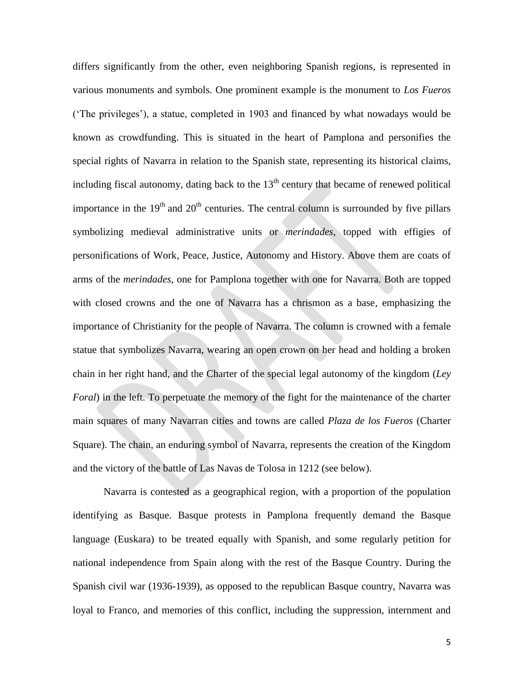differs significantly from the other, even neighboring Spanish regions, is represented in various monuments and symbols. One prominent example is the monument to *Los Fueros* ('The privileges'), a statue, completed in 1903 and financed by what nowadays would be known as crowdfunding. This is situated in the heart of Pamplona and personifies the special rights of Navarra in relation to the Spanish state, representing its historical claims, including fiscal autonomy, dating back to the  $13<sup>th</sup>$  century that became of renewed political importance in the  $19<sup>th</sup>$  and  $20<sup>th</sup>$  centuries. The central column is surrounded by five pillars symbolizing medieval administrative units or *merindades*, topped with effigies of personifications of Work, Peace, Justice, Autonomy and History. Above them are coats of arms of the *merindades*, one for Pamplona together with one for Navarra. Both are topped with closed crowns and the one of Navarra has a chrismon as a base, emphasizing the importance of Christianity for the people of Navarra. The column is crowned with a female statue that symbolizes Navarra, wearing an open crown on her head and holding a broken chain in her right hand, and the Charter of the special legal autonomy of the kingdom (*Ley Foral*) in the left. To perpetuate the memory of the fight for the maintenance of the charter main squares of many Navarran cities and towns are called *Plaza de los Fueros* (Charter Square). The chain, an enduring symbol of Navarra, represents the creation of the Kingdom and the victory of the battle of Las Navas de Tolosa in 1212 (see below).

Navarra is contested as a geographical region, with a proportion of the population identifying as Basque. Basque protests in Pamplona frequently demand the Basque language (Euskara) to be treated equally with Spanish, and some regularly petition for national independence from Spain along with the rest of the Basque Country. During the Spanish civil war (1936-1939), as opposed to the republican Basque country, Navarra was loyal to Franco, and memories of this conflict, including the suppression, internment and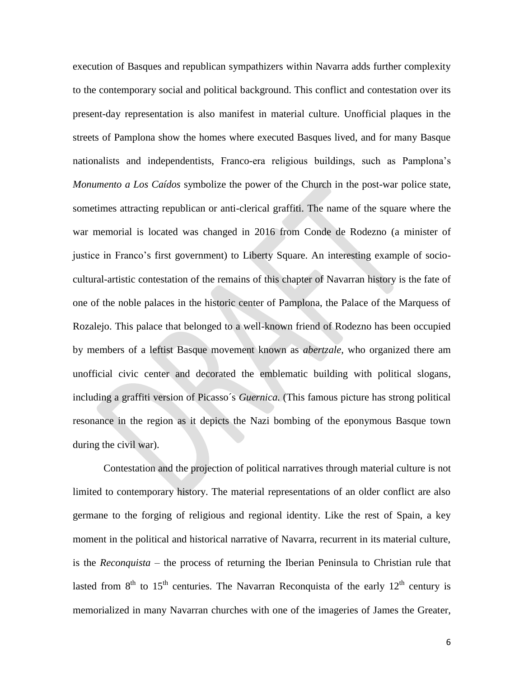execution of Basques and republican sympathizers within Navarra adds further complexity to the contemporary social and political background. This conflict and contestation over its present-day representation is also manifest in material culture. Unofficial plaques in the streets of Pamplona show the homes where executed Basques lived, and for many Basque nationalists and independentists, Franco-era religious buildings, such as Pamplona's *Monumento a Los Caídos* symbolize the power of the Church in the post-war police state, sometimes attracting republican or anti-clerical graffiti. The name of the square where the war memorial is located was changed in 2016 from Conde de Rodezno (a minister of justice in Franco's first government) to Liberty Square. An interesting example of sociocultural-artistic contestation of the remains of this chapter of Navarran history is the fate of one of the noble palaces in the historic center of Pamplona, the Palace of the Marquess of Rozalejo. This palace that belonged to a well-known friend of Rodezno has been occupied by members of a leftist Basque movement known as *abertzale*, who organized there am unofficial civic center and decorated the emblematic building with political slogans, including a graffiti version of Picasso´s *Guernica.* (This famous picture has strong political resonance in the region as it depicts the Nazi bombing of the eponymous Basque town during the civil war).

Contestation and the projection of political narratives through material culture is not limited to contemporary history. The material representations of an older conflict are also germane to the forging of religious and regional identity. Like the rest of Spain, a key moment in the political and historical narrative of Navarra, recurrent in its material culture, is the *Reconquista* – the process of returning the Iberian Peninsula to Christian rule that lasted from  $8<sup>th</sup>$  to  $15<sup>th</sup>$  centuries. The Navarran Reconquista of the early  $12<sup>th</sup>$  century is memorialized in many Navarran churches with one of the imageries of James the Greater,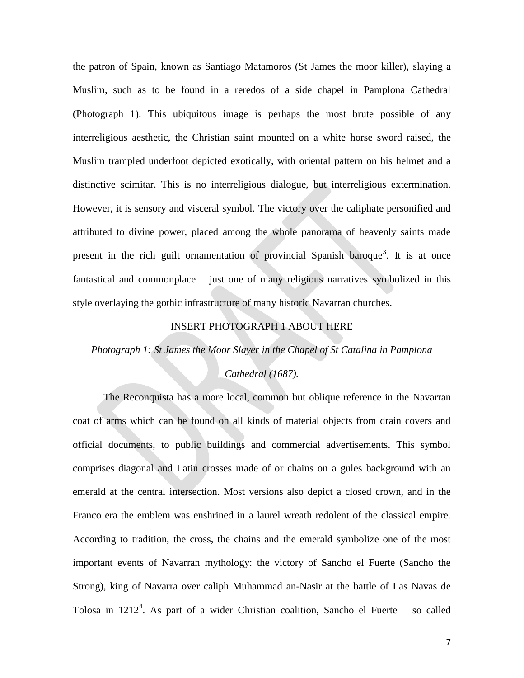the patron of Spain, known as Santiago Matamoros (St James the moor killer), slaying a Muslim, such as to be found in a reredos of a side chapel in Pamplona Cathedral (Photograph 1). This ubiquitous image is perhaps the most brute possible of any interreligious aesthetic, the Christian saint mounted on a white horse sword raised, the Muslim trampled underfoot depicted exotically, with oriental pattern on his helmet and a distinctive scimitar. This is no interreligious dialogue, but interreligious extermination. However, it is sensory and visceral symbol. The victory over the caliphate personified and attributed to divine power, placed among the whole panorama of heavenly saints made present in the rich guilt ornamentation of provincial Spanish baroque<sup>3</sup>. It is at once fantastical and commonplace – just one of many religious narratives symbolized in this style overlaying the gothic infrastructure of many historic Navarran churches.

## INSERT PHOTOGRAPH 1 ABOUT HERE

*Photograph 1: St James the Moor Slayer in the Chapel of St Catalina in Pamplona* 

#### *Cathedral (1687).*

The Reconquista has a more local, common but oblique reference in the Navarran coat of arms which can be found on all kinds of material objects from drain covers and official documents, to public buildings and commercial advertisements. This symbol comprises diagonal and Latin crosses made of or chains on a gules background with an emerald at the central intersection. Most versions also depict a closed crown, and in the Franco era the emblem was enshrined in a laurel wreath redolent of the classical empire. According to tradition, the cross, the chains and the emerald symbolize one of the most important events of Navarran mythology: the victory of Sancho el Fuerte (Sancho the Strong), king of Navarra over caliph Muhammad an-Nasir at the battle of Las Navas de Tolosa in  $1212<sup>4</sup>$ . As part of a wider Christian coalition, Sancho el Fuerte – so called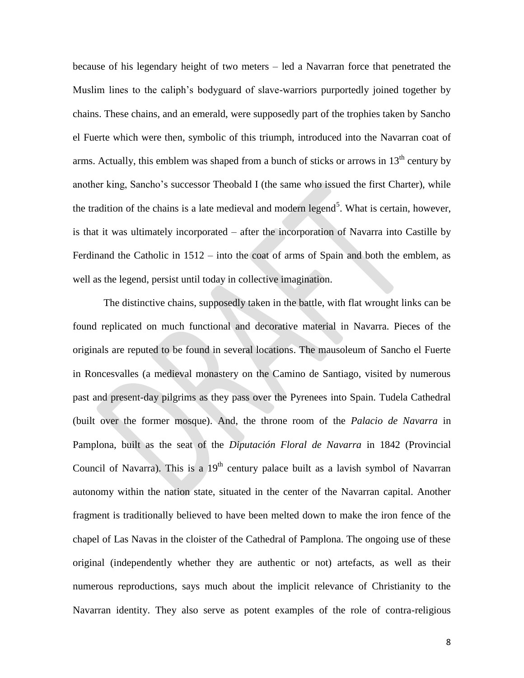because of his legendary height of two meters – led a Navarran force that penetrated the Muslim lines to the caliph's bodyguard of slave-warriors purportedly joined together by chains. These chains, and an emerald, were supposedly part of the trophies taken by Sancho el Fuerte which were then, symbolic of this triumph, introduced into the Navarran coat of arms. Actually, this emblem was shaped from a bunch of sticks or arrows in  $13<sup>th</sup>$  century by another king, Sancho's successor Theobald I (the same who issued the first Charter), while the tradition of the chains is a late medieval and modern legend<sup>5</sup>. What is certain, however, is that it was ultimately incorporated – after the incorporation of Navarra into Castille by Ferdinand the Catholic in 1512 – into the coat of arms of Spain and both the emblem, as well as the legend, persist until today in collective imagination.

The distinctive chains, supposedly taken in the battle, with flat wrought links can be found replicated on much functional and decorative material in Navarra. Pieces of the originals are reputed to be found in several locations. The mausoleum of Sancho el Fuerte in Roncesvalles (a medieval monastery on the Camino de Santiago, visited by numerous past and present-day pilgrims as they pass over the Pyrenees into Spain. Tudela Cathedral (built over the former mosque). And, the throne room of the *Palacio de Navarra* in Pamplona, built as the seat of the *Diputación Floral de Navarra* in 1842 (Provincial Council of Navarra). This is a  $19<sup>th</sup>$  century palace built as a lavish symbol of Navarran autonomy within the nation state, situated in the center of the Navarran capital. Another fragment is traditionally believed to have been melted down to make the iron fence of the chapel of Las Navas in the cloister of the Cathedral of Pamplona. The ongoing use of these original (independently whether they are authentic or not) artefacts, as well as their numerous reproductions, says much about the implicit relevance of Christianity to the Navarran identity. They also serve as potent examples of the role of contra-religious

8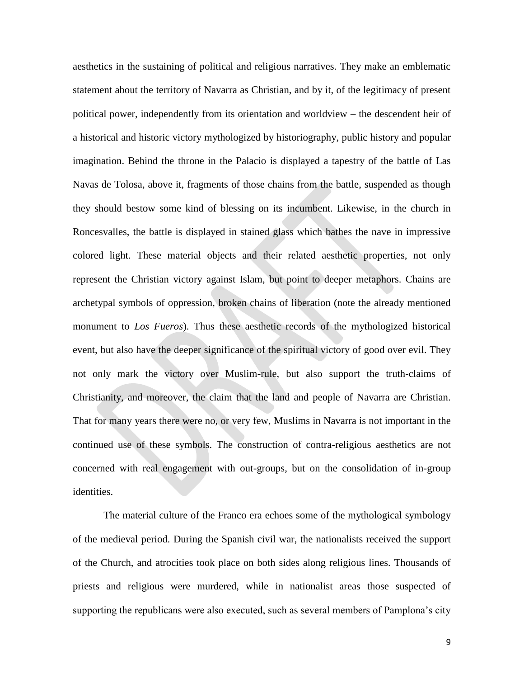aesthetics in the sustaining of political and religious narratives. They make an emblematic statement about the territory of Navarra as Christian, and by it, of the legitimacy of present political power, independently from its orientation and worldview – the descendent heir of a historical and historic victory mythologized by historiography, public history and popular imagination. Behind the throne in the Palacio is displayed a tapestry of the battle of Las Navas de Tolosa, above it, fragments of those chains from the battle, suspended as though they should bestow some kind of blessing on its incumbent. Likewise, in the church in Roncesvalles, the battle is displayed in stained glass which bathes the nave in impressive colored light. These material objects and their related aesthetic properties, not only represent the Christian victory against Islam, but point to deeper metaphors. Chains are archetypal symbols of oppression, broken chains of liberation (note the already mentioned monument to *Los Fueros*). Thus these aesthetic records of the mythologized historical event, but also have the deeper significance of the spiritual victory of good over evil. They not only mark the victory over Muslim-rule, but also support the truth-claims of Christianity, and moreover, the claim that the land and people of Navarra are Christian. That for many years there were no, or very few, Muslims in Navarra is not important in the continued use of these symbols. The construction of contra-religious aesthetics are not concerned with real engagement with out-groups, but on the consolidation of in-group identities.

The material culture of the Franco era echoes some of the mythological symbology of the medieval period. During the Spanish civil war, the nationalists received the support of the Church, and atrocities took place on both sides along religious lines. Thousands of priests and religious were murdered, while in nationalist areas those suspected of supporting the republicans were also executed, such as several members of Pamplona's city

9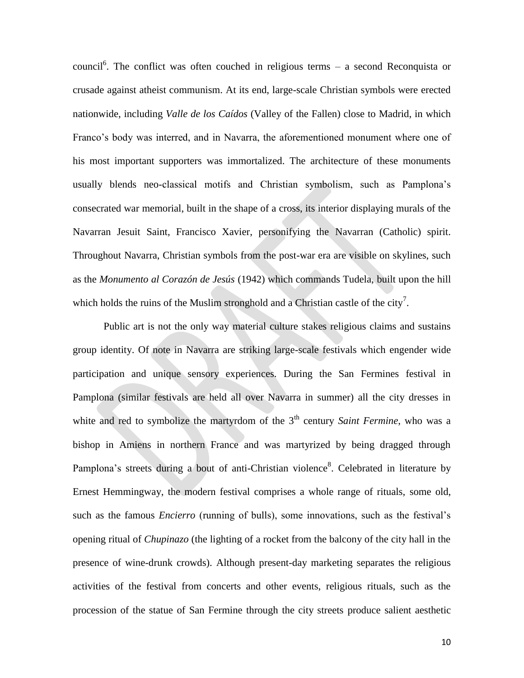council<sup>6</sup>. The conflict was often couched in religious terms – a second Reconquista or crusade against atheist communism. At its end, large-scale Christian symbols were erected nationwide, including *Valle de los Caídos* (Valley of the Fallen) close to Madrid, in which Franco's body was interred, and in Navarra, the aforementioned monument where one of his most important supporters was immortalized. The architecture of these monuments usually blends neo-classical motifs and Christian symbolism, such as Pamplona's consecrated war memorial, built in the shape of a cross, its interior displaying murals of the Navarran Jesuit Saint, Francisco Xavier, personifying the Navarran (Catholic) spirit. Throughout Navarra, Christian symbols from the post-war era are visible on skylines, such as the *Monumento al Corazón de Jesús* (1942) which commands Tudela, built upon the hill which holds the ruins of the Muslim stronghold and a Christian castle of the city<sup>7</sup>.

Public art is not the only way material culture stakes religious claims and sustains group identity. Of note in Navarra are striking large-scale festivals which engender wide participation and unique sensory experiences. During the San Fermines festival in Pamplona (similar festivals are held all over Navarra in summer) all the city dresses in white and red to symbolize the martyrdom of the 3<sup>th</sup> century *Saint Fermine*, who was a bishop in Amiens in northern France and was martyrized by being dragged through Pamplona's streets during a bout of anti-Christian violence<sup>8</sup>. Celebrated in literature by Ernest Hemmingway, the modern festival comprises a whole range of rituals, some old, such as the famous *Encierro* (running of bulls), some innovations, such as the festival's opening ritual of *Chupinazo* (the lighting of a rocket from the balcony of the city hall in the presence of wine-drunk crowds). Although present-day marketing separates the religious activities of the festival from concerts and other events, religious rituals, such as the procession of the statue of San Fermine through the city streets produce salient aesthetic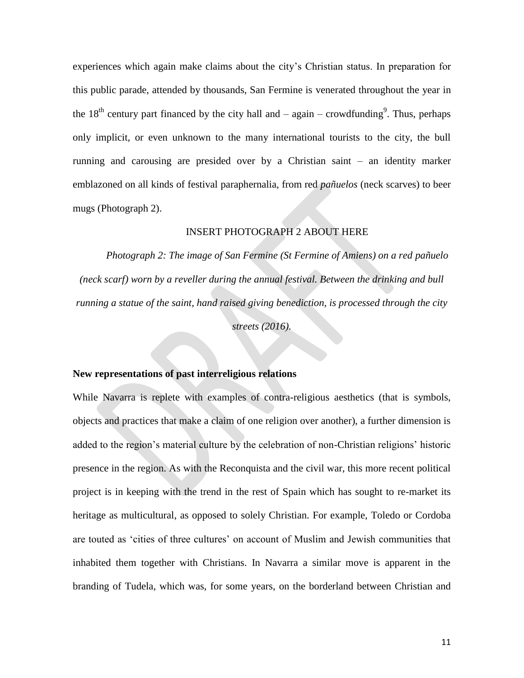experiences which again make claims about the city's Christian status. In preparation for this public parade, attended by thousands, San Fermine is venerated throughout the year in the 18<sup>th</sup> century part financed by the city hall and  $-$  again  $-$  crowdfunding<sup>9</sup>. Thus, perhaps only implicit, or even unknown to the many international tourists to the city, the bull running and carousing are presided over by a Christian saint – an identity marker emblazoned on all kinds of festival paraphernalia, from red *pañuelos* (neck scarves) to beer mugs (Photograph 2).

### INSERT PHOTOGRAPH 2 ABOUT HERE

*Photograph 2: The image of San Fermine (St Fermine of Amiens) on a red pañuelo (neck scarf) worn by a reveller during the annual festival. Between the drinking and bull running a statue of the saint, hand raised giving benediction, is processed through the city streets (2016).*

### **New representations of past interreligious relations**

While Navarra is replete with examples of contra-religious aesthetics (that is symbols, objects and practices that make a claim of one religion over another), a further dimension is added to the region's material culture by the celebration of non-Christian religions' historic presence in the region. As with the Reconquista and the civil war, this more recent political project is in keeping with the trend in the rest of Spain which has sought to re-market its heritage as multicultural, as opposed to solely Christian. For example, Toledo or Cordoba are touted as 'cities of three cultures' on account of Muslim and Jewish communities that inhabited them together with Christians. In Navarra a similar move is apparent in the branding of Tudela, which was, for some years, on the borderland between Christian and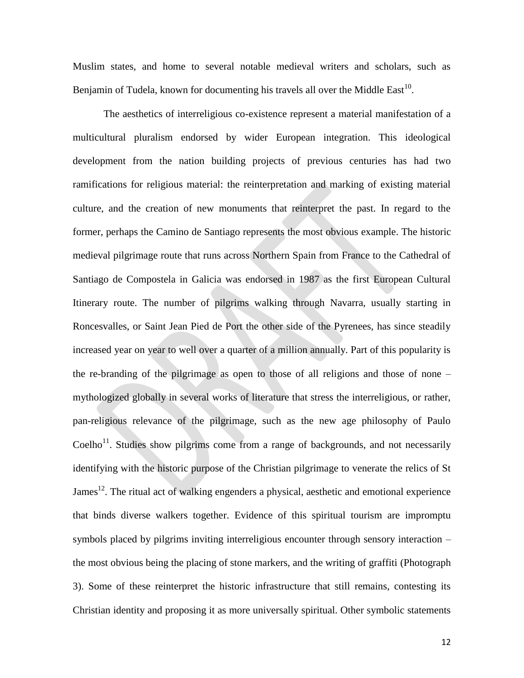Muslim states, and home to several notable medieval writers and scholars, such as Benjamin of Tudela, known for documenting his travels all over the Middle East<sup>10</sup>.

The aesthetics of interreligious co-existence represent a material manifestation of a multicultural pluralism endorsed by wider European integration. This ideological development from the nation building projects of previous centuries has had two ramifications for religious material: the reinterpretation and marking of existing material culture, and the creation of new monuments that reinterpret the past. In regard to the former, perhaps the Camino de Santiago represents the most obvious example. The historic medieval pilgrimage route that runs across Northern Spain from France to the Cathedral of Santiago de Compostela in Galicia was endorsed in 1987 as the first European Cultural Itinerary route. The number of pilgrims walking through Navarra, usually starting in Roncesvalles, or Saint Jean Pied de Port the other side of the Pyrenees, has since steadily increased year on year to well over a quarter of a million annually. Part of this popularity is the re-branding of the pilgrimage as open to those of all religions and those of none – mythologized globally in several works of literature that stress the interreligious, or rather, pan-religious relevance of the pilgrimage, such as the new age philosophy of Paulo Coelho<sup>11</sup>. Studies show pilgrims come from a range of backgrounds, and not necessarily identifying with the historic purpose of the Christian pilgrimage to venerate the relics of St James<sup>12</sup>. The ritual act of walking engenders a physical, aesthetic and emotional experience that binds diverse walkers together. Evidence of this spiritual tourism are impromptu symbols placed by pilgrims inviting interreligious encounter through sensory interaction – the most obvious being the placing of stone markers, and the writing of graffiti (Photograph 3). Some of these reinterpret the historic infrastructure that still remains, contesting its Christian identity and proposing it as more universally spiritual. Other symbolic statements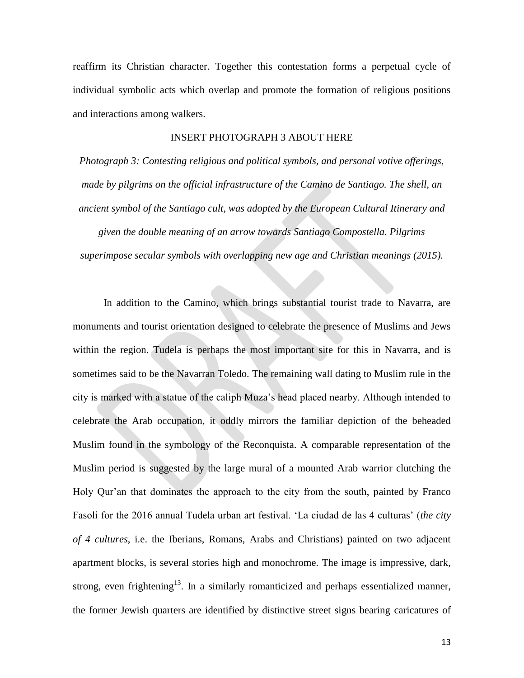reaffirm its Christian character. Together this contestation forms a perpetual cycle of individual symbolic acts which overlap and promote the formation of religious positions and interactions among walkers.

#### INSERT PHOTOGRAPH 3 ABOUT HERE

*Photograph 3: Contesting religious and political symbols, and personal votive offerings, made by pilgrims on the official infrastructure of the Camino de Santiago. The shell, an ancient symbol of the Santiago cult, was adopted by the European Cultural Itinerary and given the double meaning of an arrow towards Santiago Compostella. Pilgrims superimpose secular symbols with overlapping new age and Christian meanings (2015).* 

In addition to the Camino, which brings substantial tourist trade to Navarra, are monuments and tourist orientation designed to celebrate the presence of Muslims and Jews within the region. Tudela is perhaps the most important site for this in Navarra, and is sometimes said to be the Navarran Toledo. The remaining wall dating to Muslim rule in the city is marked with a statue of the caliph Muza's head placed nearby. Although intended to celebrate the Arab occupation, it oddly mirrors the familiar depiction of the beheaded Muslim found in the symbology of the Reconquista. A comparable representation of the Muslim period is suggested by the large mural of a mounted Arab warrior clutching the Holy Qur'an that dominates the approach to the city from the south, painted by Franco Fasoli for the 2016 annual Tudela urban art festival. 'La ciudad de las 4 culturas' (*the city of 4 cultures*, i.e. the Iberians, Romans, Arabs and Christians) painted on two adjacent apartment blocks, is several stories high and monochrome. The image is impressive, dark, strong, even frightening<sup>13</sup>. In a similarly romanticized and perhaps essentialized manner, the former Jewish quarters are identified by distinctive street signs bearing caricatures of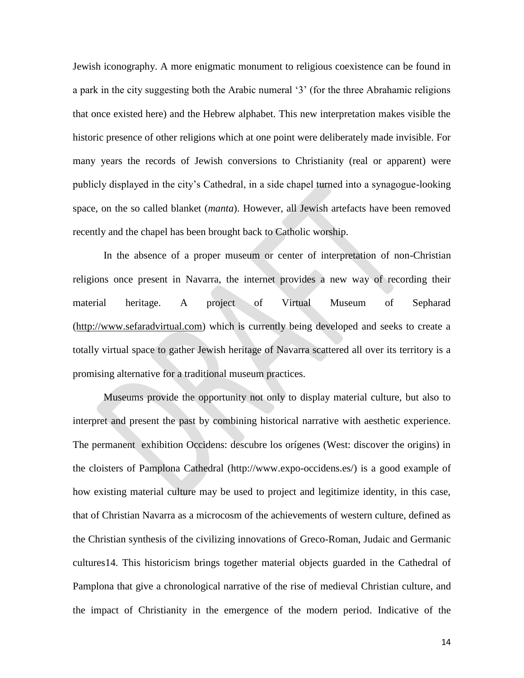Jewish iconography. A more enigmatic monument to religious coexistence can be found in a park in the city suggesting both the Arabic numeral '3' (for the three Abrahamic religions that once existed here) and the Hebrew alphabet. This new interpretation makes visible the historic presence of other religions which at one point were deliberately made invisible. For many years the records of Jewish conversions to Christianity (real or apparent) were publicly displayed in the city's Cathedral, in a side chapel turned into a synagogue-looking space, on the so called blanket (*manta*). However, all Jewish artefacts have been removed recently and the chapel has been brought back to Catholic worship.

In the absence of a proper museum or center of interpretation of non-Christian religions once present in Navarra, the internet provides a new way of recording their material heritage. A project of Virtual Museum of Sepharad [\(http://www.sefaradvirtual.com\)](http://www.sefaradvirtual.com/) which is currently being developed and seeks to create a totally virtual space to gather Jewish heritage of Navarra scattered all over its territory is a promising alternative for a traditional museum practices.

Museums provide the opportunity not only to display material culture, but also to interpret and present the past by combining historical narrative with aesthetic experience. The permanent exhibition Occidens: descubre los orígenes (West: discover the origins) in the cloisters of Pamplona Cathedral [\(http://www.expo-occidens.es/\)](http://www.expo-occidens.es/)) is a good example of how existing material culture may be used to project and legitimize identity, in this case, that of Christian Navarra as a microcosm of the achievements of western culture, defined as the Christian synthesis of the civilizing innovations of Greco-Roman, Judaic and Germanic cultures14. This historicism brings together material objects guarded in the Cathedral of Pamplona that give a chronological narrative of the rise of medieval Christian culture, and the impact of Christianity in the emergence of the modern period. Indicative of the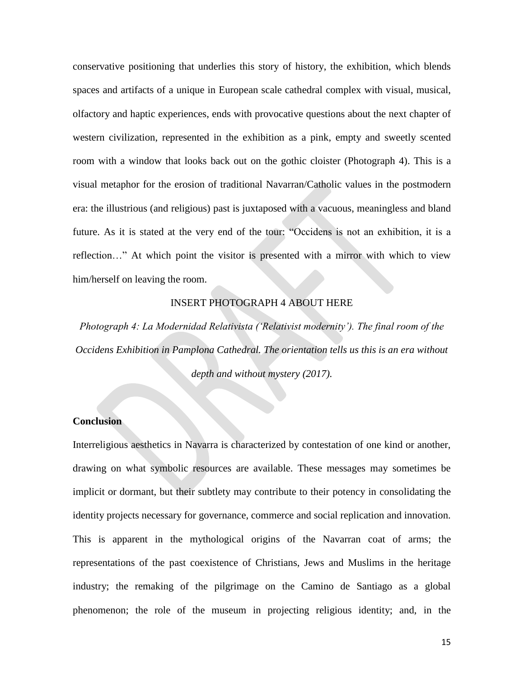conservative positioning that underlies this story of history, the exhibition, which blends spaces and artifacts of a unique in European scale cathedral complex with visual, musical, olfactory and haptic experiences, ends with provocative questions about the next chapter of western civilization, represented in the exhibition as a pink, empty and sweetly scented room with a window that looks back out on the gothic cloister (Photograph 4). This is a visual metaphor for the erosion of traditional Navarran/Catholic values in the postmodern era: the illustrious (and religious) past is juxtaposed with a vacuous, meaningless and bland future. As it is stated at the very end of the tour: "Occidens is not an exhibition, it is a reflection…" At which point the visitor is presented with a mirror with which to view him/herself on leaving the room.

#### INSERT PHOTOGRAPH 4 ABOUT HERE

*Photograph 4: La Modernidad Relativista ('Relativist modernity'). The final room of the Occidens Exhibition in Pamplona Cathedral. The orientation tells us this is an era without depth and without mystery (2017).* 

## **Conclusion**

Interreligious aesthetics in Navarra is characterized by contestation of one kind or another, drawing on what symbolic resources are available. These messages may sometimes be implicit or dormant, but their subtlety may contribute to their potency in consolidating the identity projects necessary for governance, commerce and social replication and innovation. This is apparent in the mythological origins of the Navarran coat of arms; the representations of the past coexistence of Christians, Jews and Muslims in the heritage industry; the remaking of the pilgrimage on the Camino de Santiago as a global phenomenon; the role of the museum in projecting religious identity; and, in the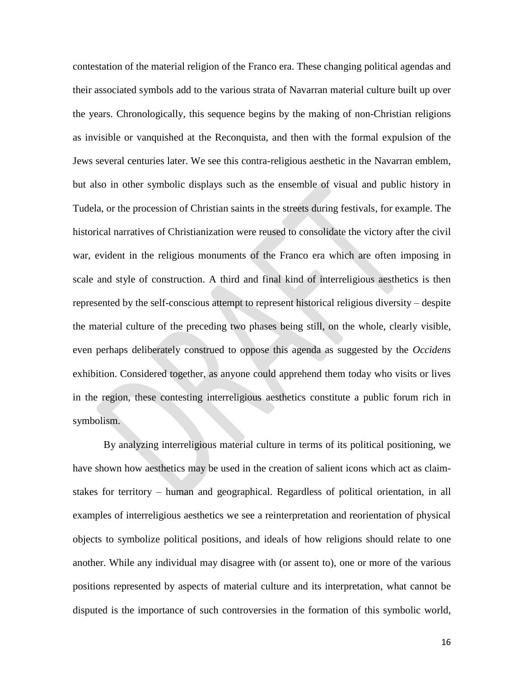contestation of the material religion of the Franco era. These changing political agendas and their associated symbols add to the various strata of Navarran material culture built up over the years. Chronologically, this sequence begins by the making of non-Christian religions as invisible or vanquished at the Reconquista, and then with the formal expulsion of the Jews several centuries later. We see this contra-religious aesthetic in the Navarran emblem, but also in other symbolic displays such as the ensemble of visual and public history in Tudela, or the procession of Christian saints in the streets during festivals, for example. The historical narratives of Christianization were reused to consolidate the victory after the civil war, evident in the religious monuments of the Franco era which are often imposing in scale and style of construction. A third and final kind of interreligious aesthetics is then represented by the self-conscious attempt to represent historical religious diversity – despite the material culture of the preceding two phases being still, on the whole, clearly visible, even perhaps deliberately construed to oppose this agenda as suggested by the *Occidens* exhibition. Considered together, as anyone could apprehend them today who visits or lives in the region, these contesting interreligious aesthetics constitute a public forum rich in symbolism.

By analyzing interreligious material culture in terms of its political positioning, we have shown how aesthetics may be used in the creation of salient icons which act as claimstakes for territory – human and geographical. Regardless of political orientation, in all examples of interreligious aesthetics we see a reinterpretation and reorientation of physical objects to symbolize political positions, and ideals of how religions should relate to one another. While any individual may disagree with (or assent to), one or more of the various positions represented by aspects of material culture and its interpretation, what cannot be disputed is the importance of such controversies in the formation of this symbolic world,